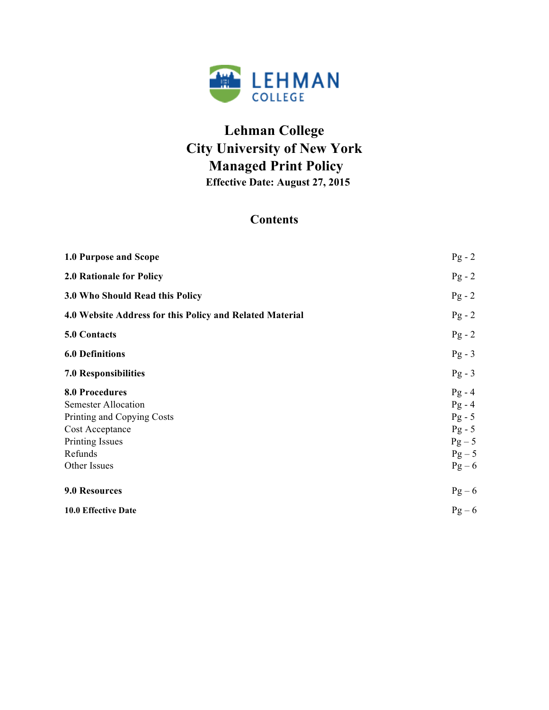

# **Lehman College City University of New York Managed Print Policy Effective Date: August 27, 2015**

# **Contents**

| 1.0 Purpose and Scope                                                                                                                              | $Pg - 2$                                                                         |
|----------------------------------------------------------------------------------------------------------------------------------------------------|----------------------------------------------------------------------------------|
| <b>2.0 Rationale for Policy</b>                                                                                                                    | $Pg - 2$                                                                         |
| 3.0 Who Should Read this Policy                                                                                                                    | $Pg - 2$                                                                         |
| 4.0 Website Address for this Policy and Related Material                                                                                           | $Pg - 2$                                                                         |
| 5.0 Contacts                                                                                                                                       | $Pg - 2$                                                                         |
| <b>6.0 Definitions</b>                                                                                                                             | $Pg - 3$                                                                         |
| 7.0 Responsibilities                                                                                                                               | $Pg - 3$                                                                         |
| <b>8.0 Procedures</b><br><b>Semester Allocation</b><br>Printing and Copying Costs<br>Cost Acceptance<br>Printing Issues<br>Refunds<br>Other Issues | $Pg - 4$<br>$Pg - 4$<br>$Pg - 5$<br>$Pg - 5$<br>$Pg - 5$<br>$Pg - 5$<br>$Pg - 6$ |
| 9.0 Resources                                                                                                                                      | $Pg - 6$                                                                         |
| 10.0 Effective Date                                                                                                                                | $Pg - 6$                                                                         |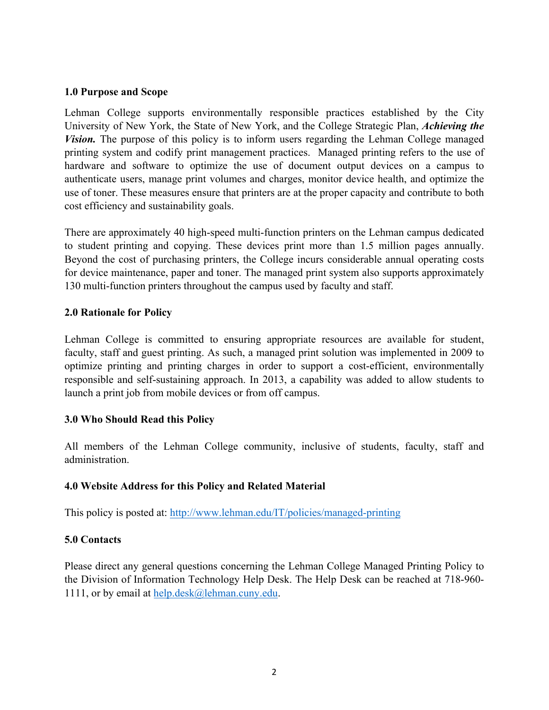#### **1.0 Purpose and Scope**

Lehman College supports environmentally responsible practices established by the City University of New York, the State of New York, and the College Strategic Plan, *Achieving the Vision.* The purpose of this policy is to inform users regarding the Lehman College managed printing system and codify print management practices. Managed printing refers to the use of hardware and software to optimize the use of document output devices on a campus to authenticate users, manage print volumes and charges, monitor device health, and optimize the use of toner. These measures ensure that printers are at the proper capacity and contribute to both cost efficiency and sustainability goals.

There are approximately 40 high-speed multi-function printers on the Lehman campus dedicated to student printing and copying. These devices print more than 1.5 million pages annually. Beyond the cost of purchasing printers, the College incurs considerable annual operating costs for device maintenance, paper and toner. The managed print system also supports approximately 130 multi-function printers throughout the campus used by faculty and staff.

#### **2.0 Rationale for Policy**

Lehman College is committed to ensuring appropriate resources are available for student, faculty, staff and guest printing. As such, a managed print solution was implemented in 2009 to optimize printing and printing charges in order to support a cost-efficient, environmentally responsible and self-sustaining approach. In 2013, a capability was added to allow students to launch a print job from mobile devices or from off campus.

## **3.0 Who Should Read this Policy**

All members of the Lehman College community, inclusive of students, faculty, staff and administration.

## **4.0 Website Address for this Policy and Related Material**

This policy is posted at: http://www.lehman.edu/IT/policies/managed-printing

## **5.0 Contacts**

Please direct any general questions concerning the Lehman College Managed Printing Policy to the Division of Information Technology Help Desk. The Help Desk can be reached at 718-960- 1111, or by email at help.desk@lehman.cuny.edu.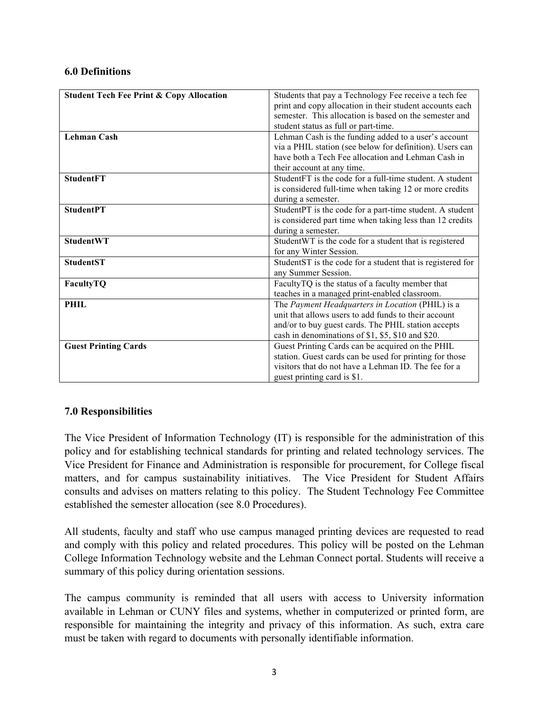#### **6.0 Definitions**

| <b>Student Tech Fee Print &amp; Copy Allocation</b> | Students that pay a Technology Fee receive a tech fee      |  |
|-----------------------------------------------------|------------------------------------------------------------|--|
|                                                     | print and copy allocation in their student accounts each   |  |
|                                                     | semester. This allocation is based on the semester and     |  |
|                                                     | student status as full or part-time.                       |  |
| <b>Lehman Cash</b>                                  | Lehman Cash is the funding added to a user's account       |  |
|                                                     | via a PHIL station (see below for definition). Users can   |  |
|                                                     | have both a Tech Fee allocation and Lehman Cash in         |  |
|                                                     | their account at any time.                                 |  |
| <b>StudentFT</b>                                    | StudentFT is the code for a full-time student. A student   |  |
|                                                     | is considered full-time when taking 12 or more credits     |  |
|                                                     | during a semester.                                         |  |
| <b>StudentPT</b>                                    | StudentPT is the code for a part-time student. A student   |  |
|                                                     | is considered part time when taking less than 12 credits   |  |
|                                                     | during a semester.                                         |  |
| <b>StudentWT</b>                                    | Student WT is the code for a student that is registered    |  |
|                                                     | for any Winter Session.                                    |  |
| <b>StudentST</b>                                    | StudentST is the code for a student that is registered for |  |
|                                                     | any Summer Session.                                        |  |
| FacultyTQ                                           | FacultyTQ is the status of a faculty member that           |  |
|                                                     | teaches in a managed print-enabled classroom.              |  |
| <b>PHIL</b>                                         | The Payment Headquarters in Location (PHIL) is a           |  |
|                                                     | unit that allows users to add funds to their account       |  |
|                                                     | and/or to buy guest cards. The PHIL station accepts        |  |
|                                                     | cash in denominations of \$1, \$5, \$10 and \$20.          |  |
| <b>Guest Printing Cards</b>                         | Guest Printing Cards can be acquired on the PHIL           |  |
|                                                     | station. Guest cards can be used for printing for those    |  |
|                                                     | visitors that do not have a Lehman ID. The fee for a       |  |
|                                                     | guest printing card is \$1.                                |  |

## **7.0 Responsibilities**

The Vice President of Information Technology (IT) is responsible for the administration of this policy and for establishing technical standards for printing and related technology services. The Vice President for Finance and Administration is responsible for procurement, for College fiscal matters, and for campus sustainability initiatives. The Vice President for Student Affairs consults and advises on matters relating to this policy. The Student Technology Fee Committee established the semester allocation (see 8.0 Procedures).

All students, faculty and staff who use campus managed printing devices are requested to read and comply with this policy and related procedures. This policy will be posted on the Lehman College Information Technology website and the Lehman Connect portal. Students will receive a summary of this policy during orientation sessions.

The campus community is reminded that all users with access to University information available in Lehman or CUNY files and systems, whether in computerized or printed form, are responsible for maintaining the integrity and privacy of this information. As such, extra care must be taken with regard to documents with personally identifiable information.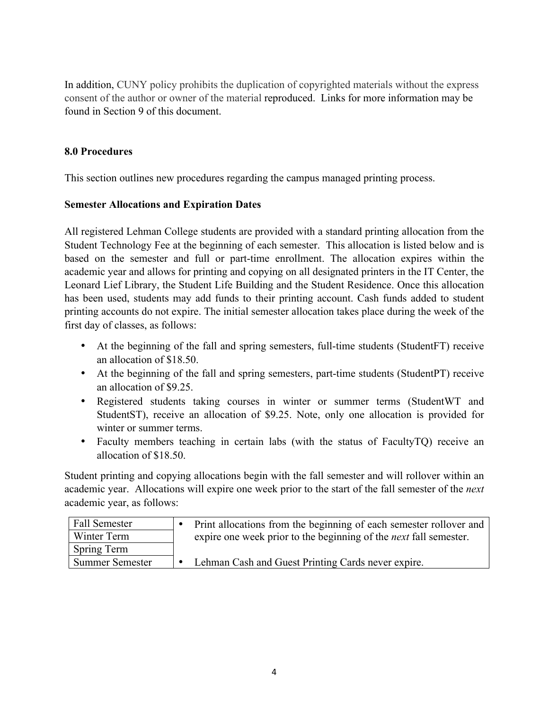In addition, CUNY policy prohibits the duplication of copyrighted materials without the express consent of the author or owner of the material reproduced. Links for more information may be found in Section 9 of this document.

## **8.0 Procedures**

This section outlines new procedures regarding the campus managed printing process.

# **Semester Allocations and Expiration Dates**

All registered Lehman College students are provided with a standard printing allocation from the Student Technology Fee at the beginning of each semester. This allocation is listed below and is based on the semester and full or part-time enrollment. The allocation expires within the academic year and allows for printing and copying on all designated printers in the IT Center, the Leonard Lief Library, the Student Life Building and the Student Residence. Once this allocation has been used, students may add funds to their printing account. Cash funds added to student printing accounts do not expire. The initial semester allocation takes place during the week of the first day of classes, as follows:

- At the beginning of the fall and spring semesters, full-time students (StudentFT) receive an allocation of \$18.50.
- At the beginning of the fall and spring semesters, part-time students (StudentPT) receive an allocation of \$9.25.
- Registered students taking courses in winter or summer terms (StudentWT and StudentST), receive an allocation of \$9.25. Note, only one allocation is provided for winter or summer terms.
- Faculty members teaching in certain labs (with the status of FacultyTQ) receive an allocation of \$18.50.

Student printing and copying allocations begin with the fall semester and will rollover within an academic year. Allocations will expire one week prior to the start of the fall semester of the *next* academic year, as follows:

| Fall Semester          | Print allocations from the beginning of each semester rollover and       |
|------------------------|--------------------------------------------------------------------------|
| Winter Term            | expire one week prior to the beginning of the <i>next</i> fall semester. |
| Spring Term            |                                                                          |
| <b>Summer Semester</b> | Lehman Cash and Guest Printing Cards never expire.                       |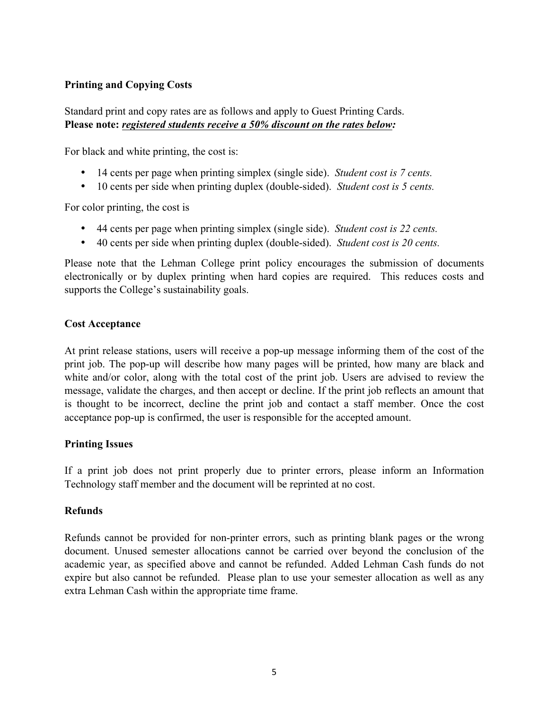# **Printing and Copying Costs**

Standard print and copy rates are as follows and apply to Guest Printing Cards. **Please note:** *registered students receive a 50% discount on the rates below:*

For black and white printing, the cost is:

- 14 cents per page when printing simplex (single side). *Student cost is 7 cents.*
- 10 cents per side when printing duplex (double-sided). *Student cost is 5 cents.*

For color printing, the cost is

- 44 cents per page when printing simplex (single side). *Student cost is 22 cents.*
- 40 cents per side when printing duplex (double-sided). *Student cost is 20 cents.*

Please note that the Lehman College print policy encourages the submission of documents electronically or by duplex printing when hard copies are required. This reduces costs and supports the College's sustainability goals.

#### **Cost Acceptance**

At print release stations, users will receive a pop-up message informing them of the cost of the print job. The pop-up will describe how many pages will be printed, how many are black and white and/or color, along with the total cost of the print job. Users are advised to review the message, validate the charges, and then accept or decline. If the print job reflects an amount that is thought to be incorrect, decline the print job and contact a staff member. Once the cost acceptance pop-up is confirmed, the user is responsible for the accepted amount.

#### **Printing Issues**

If a print job does not print properly due to printer errors, please inform an Information Technology staff member and the document will be reprinted at no cost.

#### **Refunds**

Refunds cannot be provided for non-printer errors, such as printing blank pages or the wrong document. Unused semester allocations cannot be carried over beyond the conclusion of the academic year, as specified above and cannot be refunded. Added Lehman Cash funds do not expire but also cannot be refunded. Please plan to use your semester allocation as well as any extra Lehman Cash within the appropriate time frame.